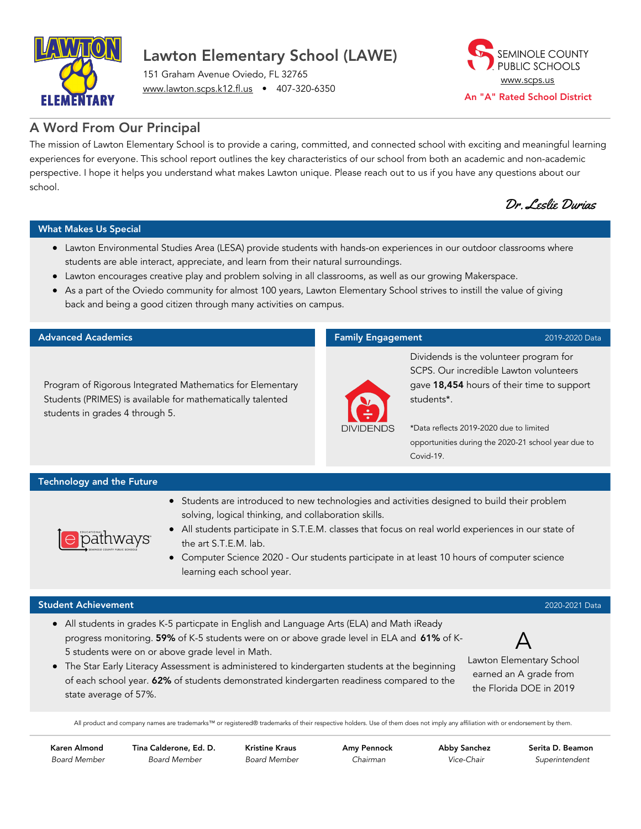

## Lawton Elementary School (LAWE)

151 Graham Avenue Oviedo, FL 32765 [www.lawton.scps.k12.fl.us](http://www.lawton.scps.k12.fl.us/) • 407-320-6350



### A Word From Our Principal

The mission of Lawton Elementary School is to provide a caring, committed, and connected school with exciting and meaningful learning experiences for everyone. This school report outlines the key characteristics of our school from both an academic and non-academic perspective. I hope it helps you understand what makes Lawton unique. Please reach out to us if you have any questions about our school.

Dr. Leslie Durias

#### What Makes Us Special

- Lawton Environmental Studies Area (LESA) provide students with hands-on experiences in our outdoor classrooms where students are able interact, appreciate, and learn from their natural surroundings.
- Lawton encourages creative play and problem solving in all classrooms, as well as our growing Makerspace.
- As a part of the Oviedo community for almost 100 years, Lawton Elementary School strives to instill the value of giving back and being a good citizen through many activities on campus.

#### Advanced Academics

Program of Rigorous Integrated Mathematics for Elementary Students (PRIMES) is available for mathematically talented students in grades 4 through 5.

#### Family Engagement 2019-2020 Data



Dividends is the volunteer program for SCPS. Our incredible Lawton volunteers gave 18,454 hours of their time to support students\*.

\*Data reflects 2019-2020 due to limited opportunities during the 2020-21 school year due to Covid-19.

#### Technology and the Future

pathways

- Students are introduced to new technologies and activities designed to build their problem solving, logical thinking, and collaboration skills.
- All students participate in S.T.E.M. classes that focus on real world experiences in our state of the art S.T.E.M. lab.
- Computer Science 2020 Our students participate in at least 10 hours of computer science learning each school year.

#### Student Achievement 2020-2021 Data

- All students in grades K-5 particpate in English and Language Arts (ELA) and Math iReady progress monitoring. 59% of K-5 students were on or above grade level in ELA and 61% of K-5 students were on or above grade level in Math.
- The Star Early Literacy Assessment is administered to kindergarten students at the beginning of each school year. 62% of students demonstrated kindergarten readiness compared to the state average of 57%.

A Lawton Elementary School earned an A grade from the Florida DOE in 2019

All product and company names are trademarks™ or registered® trademarks of their respective holders. Use of them does not imply any affiliation with or endorsement by them.

Karen Almond Board Member Tina Calderone, Ed. D. Board Member

Kristine Kraus Board Member Amy Pennock Chairman

Abby Sanchez Vice-Chair

Serita D. Beamon Superintendent